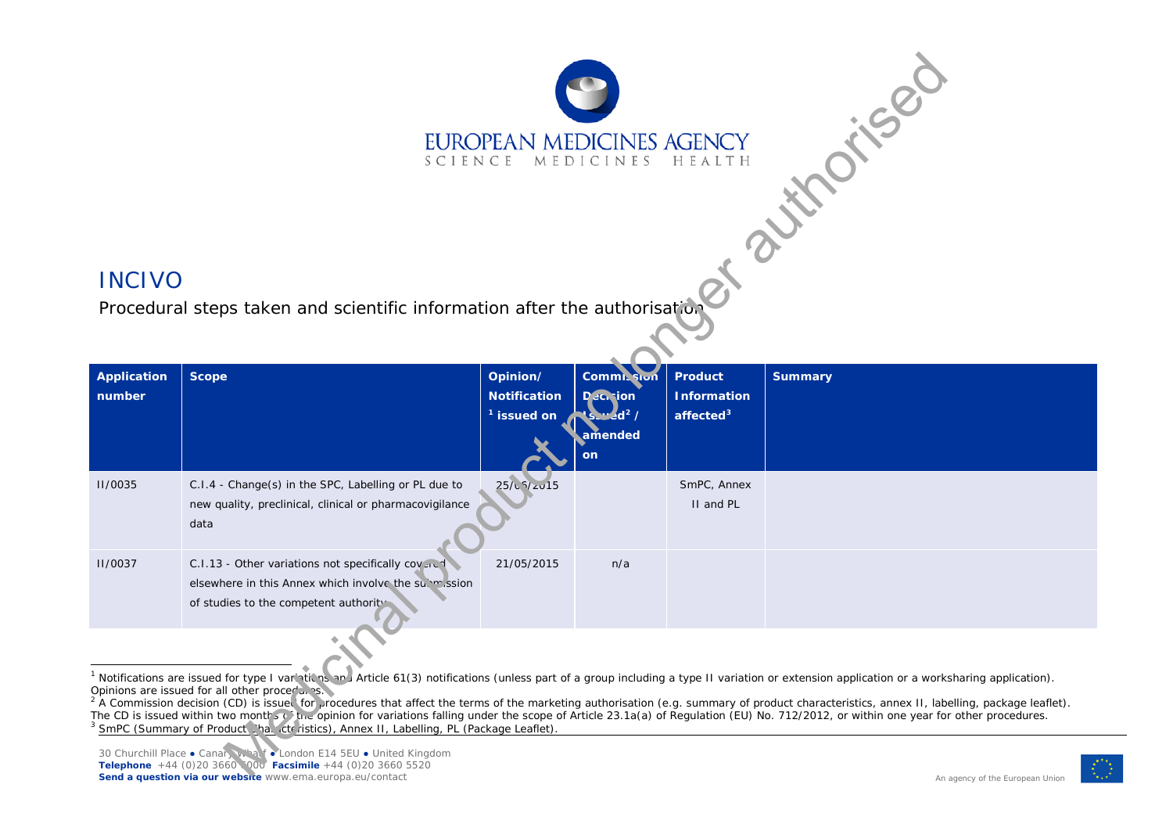<span id="page-0-2"></span><span id="page-0-1"></span><span id="page-0-0"></span>

## INCIVO

Procedural steps taken and scientific information after the authorisation

| Application<br>number | <b>Scope</b>                                                                                                                                        | Opinion/<br><b>Notification</b><br>$1$ issued on | <b>Commit Sion</b><br><b>Decision</b><br>$s \cdot d^2$ /<br>amended<br>on | <b>Product</b><br><b>Information</b><br>affected $3$ | <b>Summary</b> |
|-----------------------|-----------------------------------------------------------------------------------------------------------------------------------------------------|--------------------------------------------------|---------------------------------------------------------------------------|------------------------------------------------------|----------------|
| II/0035               | C.I.4 - Change(s) in the SPC, Labelling or PL due to<br>new quality, preclinical, clinical or pharmacovigilance<br>data                             | 25/15                                            |                                                                           | SmPC, Annex<br>II and PL                             |                |
| II/0037               | C.I.13 - Other variations not specifically covered<br>elsewhere in this Annex which involve the submussion<br>of studies to the competent authority | 21/05/2015                                       | n/a                                                                       |                                                      |                |
|                       |                                                                                                                                                     |                                                  |                                                                           |                                                      |                |

<sup>1</sup> Notifications are issued for type I variations Article 61(3) notifications (unless part of a group including a type II variation or extension application or a worksharing application). Opinions are issued for all other procedules.

2 A Commission decision (CD) is issued for procedures that affect the terms of the marketing authorisation (e.g. summary of product characteristics, annex II, labelling, package leaflet). The CD is issued within two months of the opinion for variations falling under the scope of Article 23.1a(a) of Regulation (EU) No. 712/2012, or within one year for other procedures. <sup>3</sup> SmPC (Summary of Product Characteristics), Annex II, Labelling, PL (Package Leaflet).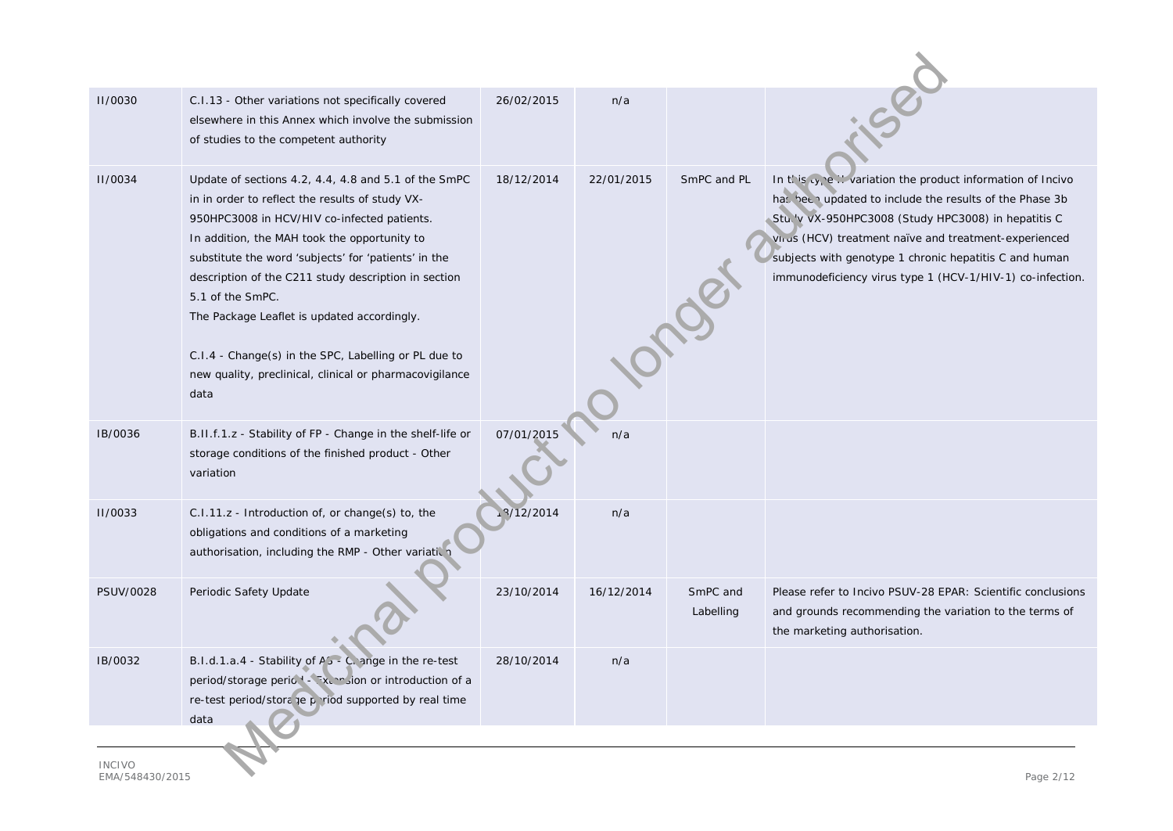| <b>II/0030</b>                      | C.I.13 - Other variations not specifically covered<br>elsewhere in this Annex which involve the submission<br>of studies to the competent authority                                                                                                                                                                                                                                                                                                                                                                  | 26/02/2015 | n/a        |                       |                                                                                                                                                                                                                                                                                                                                                               |  |
|-------------------------------------|----------------------------------------------------------------------------------------------------------------------------------------------------------------------------------------------------------------------------------------------------------------------------------------------------------------------------------------------------------------------------------------------------------------------------------------------------------------------------------------------------------------------|------------|------------|-----------------------|---------------------------------------------------------------------------------------------------------------------------------------------------------------------------------------------------------------------------------------------------------------------------------------------------------------------------------------------------------------|--|
| <b>II/0034</b>                      | Update of sections 4.2, 4.4, 4.8 and 5.1 of the SmPC<br>in in order to reflect the results of study VX-<br>950HPC3008 in HCV/HIV co-infected patients.<br>In addition, the MAH took the opportunity to<br>substitute the word 'subjects' for 'patients' in the<br>description of the C211 study description in section<br>5.1 of the SmPC.<br>The Package Leaflet is updated accordingly.<br>C.I.4 - Change(s) in the SPC, Labelling or PL due to<br>new quality, preclinical, clinical or pharmacovigilance<br>data | 18/12/2014 | 22/01/2015 | SmPC and PL           | In this cycle  variation the product information of Incivo<br>has been updated to include the results of the Phase 3b<br>Stu. 'v vX-950HPC3008 (Study HPC3008) in hepatitis C<br>Virus (HCV) treatment naïve and treatment-experienced<br>subjects with genotype 1 chronic hepatitis C and human<br>immunodeficiency virus type 1 (HCV-1/HIV-1) co-infection. |  |
| IB/0036                             | B.II.f.1.z - Stability of FP - Change in the shelf-life or<br>storage conditions of the finished product - Other<br>variation                                                                                                                                                                                                                                                                                                                                                                                        | 07/01/2015 | n/a        |                       |                                                                                                                                                                                                                                                                                                                                                               |  |
| <b>II/0033</b>                      | C.I.11.z - Introduction of, or change(s) to, the<br>obligations and conditions of a marketing<br>authorisation, including the RMP - Other variatic                                                                                                                                                                                                                                                                                                                                                                   | 12/2014    | n/a        |                       |                                                                                                                                                                                                                                                                                                                                                               |  |
| PSUV/0028                           | Periodic Safety Update                                                                                                                                                                                                                                                                                                                                                                                                                                                                                               | 23/10/2014 | 16/12/2014 | SmPC and<br>Labelling | Please refer to Incivo PSUV-28 EPAR: Scientific conclusions<br>and grounds recommending the variation to the terms of<br>the marketing authorisation.                                                                                                                                                                                                         |  |
| IB/0032                             | B.I.d.1.a.4 - Stability of A <sub>2</sub> - C, ange in the re-test<br>period/storage period - Tx, multion or introduction of a<br>re-test period/stora je priod supported by real time<br>data                                                                                                                                                                                                                                                                                                                       | 28/10/2014 | n/a        |                       |                                                                                                                                                                                                                                                                                                                                                               |  |
| <b>INCIVO</b><br>$D \cap \sim \sim$ |                                                                                                                                                                                                                                                                                                                                                                                                                                                                                                                      |            |            |                       |                                                                                                                                                                                                                                                                                                                                                               |  |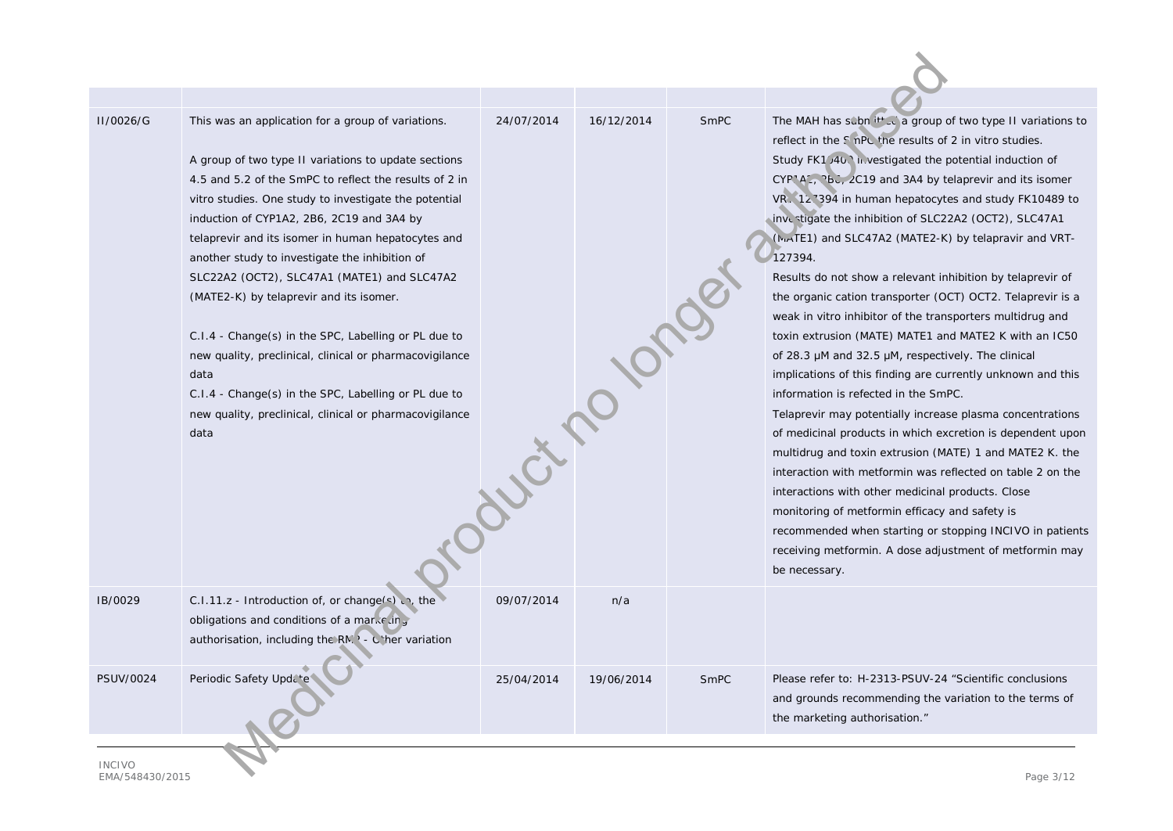| II/0026/G                                    | This was an application for a group of variations.<br>A group of two type II variations to update sections<br>4.5 and 5.2 of the SmPC to reflect the results of 2 in<br>vitro studies. One study to investigate the potential<br>induction of CYP1A2, 2B6, 2C19 and 3A4 by<br>telaprevir and its isomer in human hepatocytes and<br>another study to investigate the inhibition of<br>SLC22A2 (OCT2), SLC47A1 (MATE1) and SLC47A2<br>(MATE2-K) by telaprevir and its isomer.<br>C.I.4 - Change(s) in the SPC, Labelling or PL due to<br>new quality, preclinical, clinical or pharmacovigilance<br>data<br>C.I.4 - Change(s) in the SPC, Labelling or PL due to<br>new quality, preclinical, clinical or pharmacovigilance<br>data | 24/07/2014<br>Courting 10 | 16/12/2014 | SmPC | The MAH has subn it to a group of two type II variations to<br>reflect in the S nPc the results of 2 in vitro studies.<br>Study FK1/40. investigated the potential induction of<br>CYP A 2, Pbc, 2C19 and 3A4 by telaprevir and its isomer<br>VR. 12.394 in human hepatocytes and study FK10489 to<br>investigate the inhibition of SLC22A2 (OCT2), SLC47A1<br>(Mu <sub>r</sub> TE1) and SLC47A2 (MATE2-K) by telapravir and VRT-<br>127394.<br>Results do not show a relevant inhibition by telaprevir of<br>the organic cation transporter (OCT) OCT2. Telaprevir is a<br>weak in vitro inhibitor of the transporters multidrug and<br>toxin extrusion (MATE) MATE1 and MATE2 K with an IC50<br>of 28.3 µM and 32.5 µM, respectively. The clinical<br>implications of this finding are currently unknown and this<br>information is refected in the SmPC.<br>Telaprevir may potentially increase plasma concentrations<br>of medicinal products in which excretion is dependent upon<br>multidrug and toxin extrusion (MATE) 1 and MATE2 K. the<br>interaction with metformin was reflected on table 2 on the<br>interactions with other medicinal products. Close<br>monitoring of metformin efficacy and safety is<br>recommended when starting or stopping INCIVO in patients<br>receiving metformin. A dose adjustment of metformin may<br>be necessary. |  |  |  |
|----------------------------------------------|------------------------------------------------------------------------------------------------------------------------------------------------------------------------------------------------------------------------------------------------------------------------------------------------------------------------------------------------------------------------------------------------------------------------------------------------------------------------------------------------------------------------------------------------------------------------------------------------------------------------------------------------------------------------------------------------------------------------------------|---------------------------|------------|------|----------------------------------------------------------------------------------------------------------------------------------------------------------------------------------------------------------------------------------------------------------------------------------------------------------------------------------------------------------------------------------------------------------------------------------------------------------------------------------------------------------------------------------------------------------------------------------------------------------------------------------------------------------------------------------------------------------------------------------------------------------------------------------------------------------------------------------------------------------------------------------------------------------------------------------------------------------------------------------------------------------------------------------------------------------------------------------------------------------------------------------------------------------------------------------------------------------------------------------------------------------------------------------------------------------------------------------------------------------------|--|--|--|
| IB/0029                                      | C.I.11.z - Introduction of, or change(s), $\eta$ , the<br>obligations and conditions of a marketing<br>authorisation, including the RM $\rightarrow$ - C ther variation                                                                                                                                                                                                                                                                                                                                                                                                                                                                                                                                                            | 09/07/2014                | n/a        |      |                                                                                                                                                                                                                                                                                                                                                                                                                                                                                                                                                                                                                                                                                                                                                                                                                                                                                                                                                                                                                                                                                                                                                                                                                                                                                                                                                                |  |  |  |
| <b>PSUV/0024</b>                             | Periodic Safety Upd. te                                                                                                                                                                                                                                                                                                                                                                                                                                                                                                                                                                                                                                                                                                            | 25/04/2014                | 19/06/2014 | SmPC | Please refer to: H-2313-PSUV-24 "Scientific conclusions<br>and grounds recommending the variation to the terms of<br>the marketing authorisation."                                                                                                                                                                                                                                                                                                                                                                                                                                                                                                                                                                                                                                                                                                                                                                                                                                                                                                                                                                                                                                                                                                                                                                                                             |  |  |  |
| <b>INCIVO</b><br>T A A / T A O A Q O / Q A T | $Dog \approx 2/11$                                                                                                                                                                                                                                                                                                                                                                                                                                                                                                                                                                                                                                                                                                                 |                           |            |      |                                                                                                                                                                                                                                                                                                                                                                                                                                                                                                                                                                                                                                                                                                                                                                                                                                                                                                                                                                                                                                                                                                                                                                                                                                                                                                                                                                |  |  |  |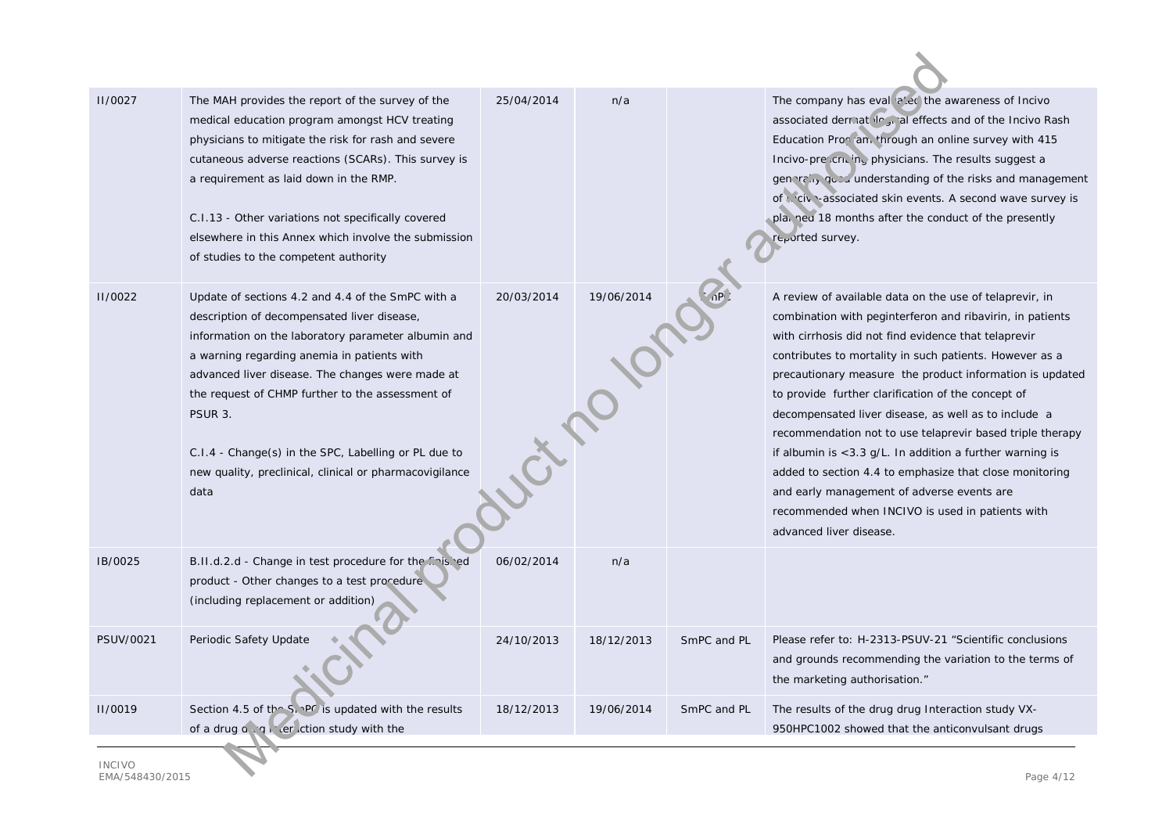| <b>II/0027</b>   | The MAH provides the report of the survey of the<br>medical education program amongst HCV treating<br>physicians to mitigate the risk for rash and severe<br>cutaneous adverse reactions (SCARs). This survey is<br>a requirement as laid down in the RMP.<br>C.I.13 - Other variations not specifically covered<br>elsewhere in this Annex which involve the submission<br>of studies to the competent authority                                    | 25/04/2014 | n/a        |             | The company has eval all a the awareness of Incivo<br>associated dermatelogy all effects and of the Incivo Rash<br>Education Pron an. through an online survey with 415<br>Incivo-prescricing physicians. The results suggest a<br>generally queu understanding of the risks and management<br>of civi-associated skin events. A second wave survey is<br>pla, ned 18 months after the conduct of the presently<br>reported survey.                                                                                                                                                                                                                                                                                                   |  |
|------------------|------------------------------------------------------------------------------------------------------------------------------------------------------------------------------------------------------------------------------------------------------------------------------------------------------------------------------------------------------------------------------------------------------------------------------------------------------|------------|------------|-------------|---------------------------------------------------------------------------------------------------------------------------------------------------------------------------------------------------------------------------------------------------------------------------------------------------------------------------------------------------------------------------------------------------------------------------------------------------------------------------------------------------------------------------------------------------------------------------------------------------------------------------------------------------------------------------------------------------------------------------------------|--|
| <b>II/0022</b>   | Update of sections 4.2 and 4.4 of the SmPC with a<br>description of decompensated liver disease,<br>information on the laboratory parameter albumin and<br>a warning regarding anemia in patients with<br>advanced liver disease. The changes were made at<br>the request of CHMP further to the assessment of<br>PSUR 3.<br>C.I.4 - Change(s) in the SPC, Labelling or PL due to<br>new quality, preclinical, clinical or pharmacovigilance<br>data | 20/03/2014 | 19/06/2014 |             | A review of available data on the use of telaprevir, in<br>combination with peginterferon and ribavirin, in patients<br>with cirrhosis did not find evidence that telaprevir<br>contributes to mortality in such patients. However as a<br>precautionary measure the product information is updated<br>to provide further clarification of the concept of<br>decompensated liver disease, as well as to include a<br>recommendation not to use telaprevir based triple therapy<br>if albumin is $<$ 3.3 g/L. In addition a further warning is<br>added to section 4.4 to emphasize that close monitoring<br>and early management of adverse events are<br>recommended when INCIVO is used in patients with<br>advanced liver disease. |  |
| IB/0025          | B.II.d.2.d - Change in test procedure for the finished<br>product - Other changes to a test procedure<br>(including replacement or addition)                                                                                                                                                                                                                                                                                                         | 06/02/2014 | n/a        |             |                                                                                                                                                                                                                                                                                                                                                                                                                                                                                                                                                                                                                                                                                                                                       |  |
| <b>PSUV/0021</b> | Periodic Safety Update                                                                                                                                                                                                                                                                                                                                                                                                                               | 24/10/2013 | 18/12/2013 | SmPC and PL | Please refer to: H-2313-PSUV-21 "Scientific conclusions<br>and grounds recommending the variation to the terms of<br>the marketing authorisation."                                                                                                                                                                                                                                                                                                                                                                                                                                                                                                                                                                                    |  |
| <b>II/0019</b>   | Section 4.5 of the S, PC is updated with the results<br>of a drug a cq reflection study with the                                                                                                                                                                                                                                                                                                                                                     | 18/12/2013 | 19/06/2014 | SmPC and PL | The results of the drug drug Interaction study VX-<br>950HPC1002 showed that the anticonvulsant drugs                                                                                                                                                                                                                                                                                                                                                                                                                                                                                                                                                                                                                                 |  |
| <b>INCIVO</b>    |                                                                                                                                                                                                                                                                                                                                                                                                                                                      |            |            |             |                                                                                                                                                                                                                                                                                                                                                                                                                                                                                                                                                                                                                                                                                                                                       |  |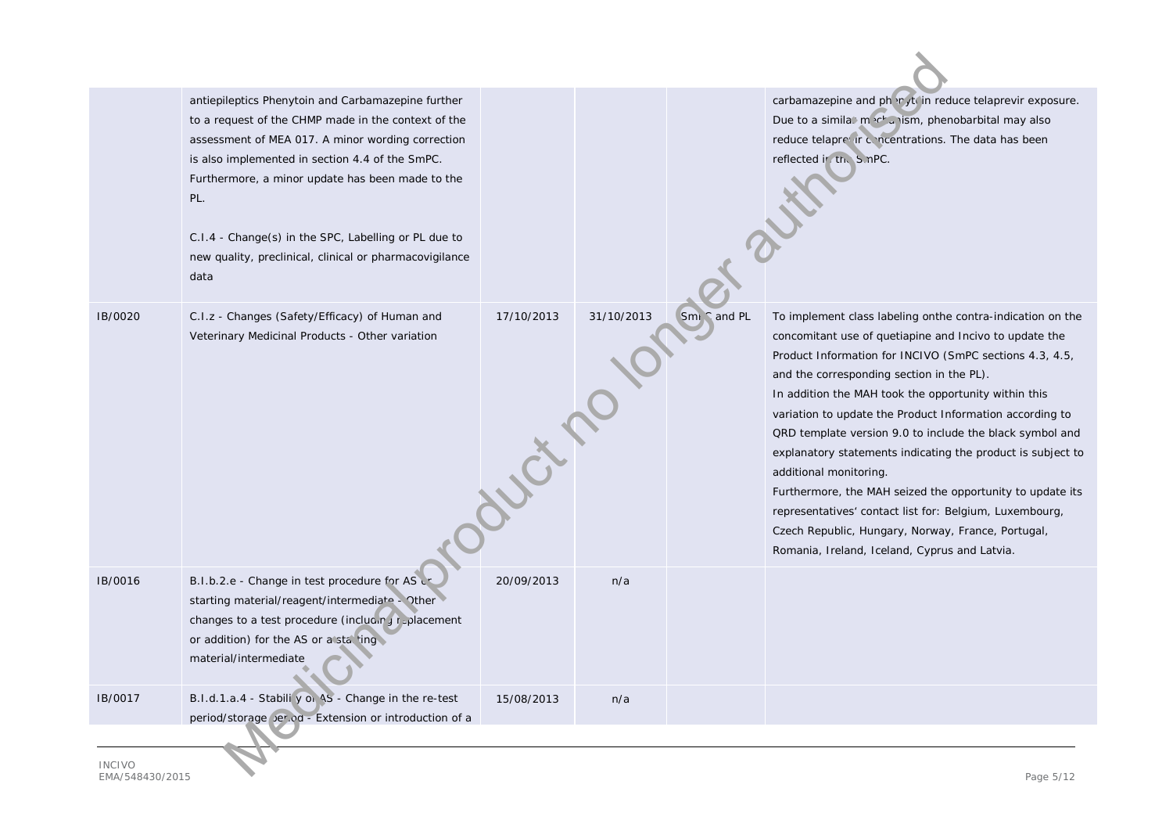|               | antiepileptics Phenytoin and Carbamazepine further<br>to a request of the CHMP made in the context of the<br>assessment of MEA 017. A minor wording correction<br>is also implemented in section 4.4 of the SmPC.<br>Furthermore, a minor update has been made to the<br>PL.<br>C.I.4 - Change(s) in the SPC, Labelling or PL due to<br>new quality, preclinical, clinical or pharmacovigilance<br>data |                         |            |             | carbamazepine and ph r ft in reduce telaprevir exposure.<br>Due to a simila. machanism, phenobarbital may also<br>reduce telaprevir concentrations. The data has been<br>reflected ir the S.nPC.                                                                                                                                                                                                                                                                                                                                                                                                                                                                                                                                     |  |
|---------------|---------------------------------------------------------------------------------------------------------------------------------------------------------------------------------------------------------------------------------------------------------------------------------------------------------------------------------------------------------------------------------------------------------|-------------------------|------------|-------------|--------------------------------------------------------------------------------------------------------------------------------------------------------------------------------------------------------------------------------------------------------------------------------------------------------------------------------------------------------------------------------------------------------------------------------------------------------------------------------------------------------------------------------------------------------------------------------------------------------------------------------------------------------------------------------------------------------------------------------------|--|
| IB/0020       | C.I.z - Changes (Safety/Efficacy) of Human and<br>Veterinary Medicinal Products - Other variation                                                                                                                                                                                                                                                                                                       | 17/10/2013<br>Journal R | 31/10/2013 | Sml cand PL | To implement class labeling onthe contra-indication on the<br>concomitant use of quetiapine and Incivo to update the<br>Product Information for INCIVO (SmPC sections 4.3, 4.5,<br>and the corresponding section in the PL).<br>In addition the MAH took the opportunity within this<br>variation to update the Product Information according to<br>QRD template version 9.0 to include the black symbol and<br>explanatory statements indicating the product is subject to<br>additional monitoring.<br>Furthermore, the MAH seized the opportunity to update its<br>representatives' contact list for: Belgium, Luxembourg,<br>Czech Republic, Hungary, Norway, France, Portugal,<br>Romania, Ireland, Iceland, Cyprus and Latvia. |  |
| IB/0016       | B.I.b.2.e - Change in test procedure for AS c<br>starting material/reagent/intermediate - Other<br>changes to a test procedure (including replacement<br>or addition) for the AS or a stating<br>material/intermediate                                                                                                                                                                                  | 20/09/2013              | n/a        |             |                                                                                                                                                                                                                                                                                                                                                                                                                                                                                                                                                                                                                                                                                                                                      |  |
| IB/0017       | B.I.d.1.a.4 - Stabili y or 4S - Change in the re-test<br>period/storage per.od - Extension or introduction of a                                                                                                                                                                                                                                                                                         | 15/08/2013              | n/a        |             |                                                                                                                                                                                                                                                                                                                                                                                                                                                                                                                                                                                                                                                                                                                                      |  |
| <b>INCIVO</b> |                                                                                                                                                                                                                                                                                                                                                                                                         |                         |            |             |                                                                                                                                                                                                                                                                                                                                                                                                                                                                                                                                                                                                                                                                                                                                      |  |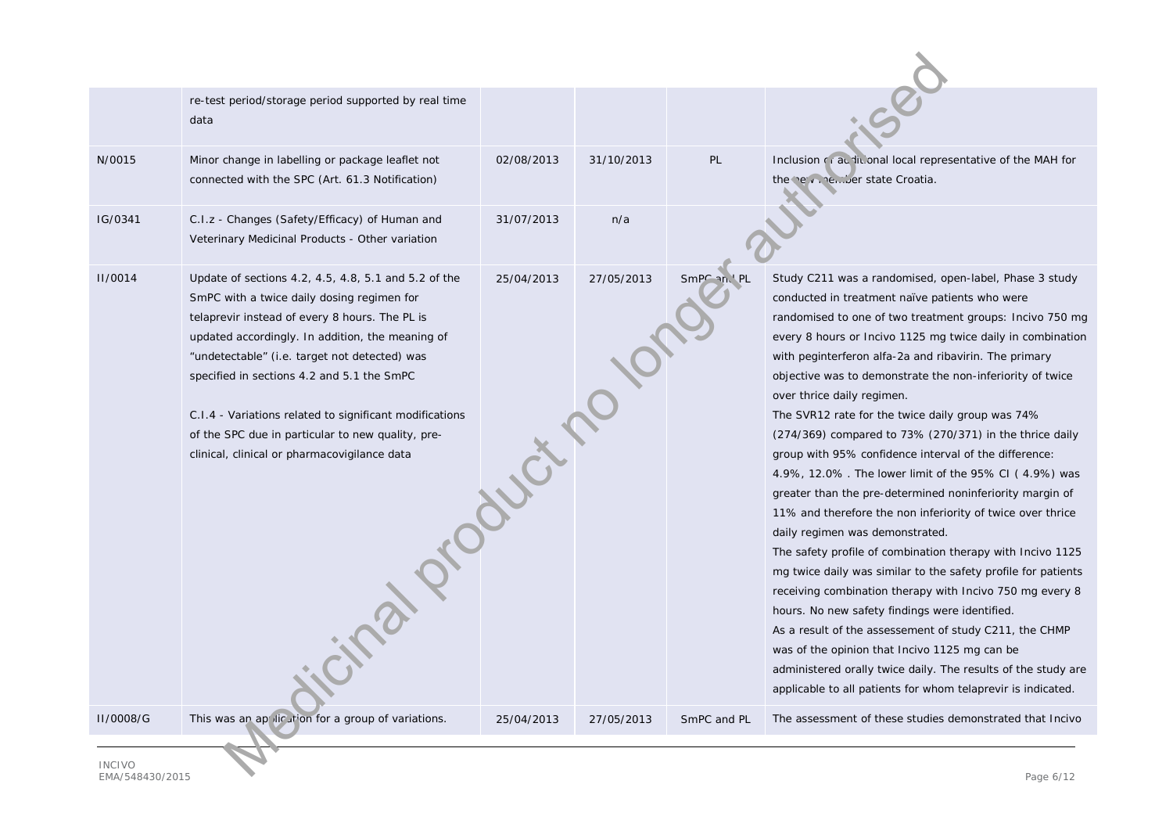|                | re-test period/storage period supported by real time<br>data                                                                                                                                                                                                                                                                                                                                                                                                                           |            |            |             |                                                                                                                                                                                                                                                                                                                                                                                                                                                                                                                                                                                                                                                                                                                                                                                                                                                                                                                                                                                                                                                                                                                                                                                                                                                                               |  |  |
|----------------|----------------------------------------------------------------------------------------------------------------------------------------------------------------------------------------------------------------------------------------------------------------------------------------------------------------------------------------------------------------------------------------------------------------------------------------------------------------------------------------|------------|------------|-------------|-------------------------------------------------------------------------------------------------------------------------------------------------------------------------------------------------------------------------------------------------------------------------------------------------------------------------------------------------------------------------------------------------------------------------------------------------------------------------------------------------------------------------------------------------------------------------------------------------------------------------------------------------------------------------------------------------------------------------------------------------------------------------------------------------------------------------------------------------------------------------------------------------------------------------------------------------------------------------------------------------------------------------------------------------------------------------------------------------------------------------------------------------------------------------------------------------------------------------------------------------------------------------------|--|--|
| N/0015         | Minor change in labelling or package leaflet not<br>connected with the SPC (Art. 61.3 Notification)                                                                                                                                                                                                                                                                                                                                                                                    | 02/08/2013 | 31/10/2013 | PL          | Inclusion of a ditional local representative of the MAH for<br>the the virtual member state Croatia.                                                                                                                                                                                                                                                                                                                                                                                                                                                                                                                                                                                                                                                                                                                                                                                                                                                                                                                                                                                                                                                                                                                                                                          |  |  |
| IG/0341        | C.I.z - Changes (Safety/Efficacy) of Human and<br>Veterinary Medicinal Products - Other variation                                                                                                                                                                                                                                                                                                                                                                                      | 31/07/2013 | n/a        |             |                                                                                                                                                                                                                                                                                                                                                                                                                                                                                                                                                                                                                                                                                                                                                                                                                                                                                                                                                                                                                                                                                                                                                                                                                                                                               |  |  |
| <b>II/0014</b> | Update of sections 4.2, 4.5, 4.8, 5.1 and 5.2 of the<br>SmPC with a twice daily dosing regimen for<br>telaprevir instead of every 8 hours. The PL is<br>updated accordingly. In addition, the meaning of<br>"undetectable" (i.e. target not detected) was<br>specified in sections 4.2 and 5.1 the SmPC<br>C.I.4 - Variations related to significant modifications<br>Programs of<br>of the SPC due in particular to new quality, pre-<br>clinical, clinical or pharmacovigilance data | 25/04/2013 | 27/05/2013 | SmPC an. PL | Study C211 was a randomised, open-label, Phase 3 study<br>conducted in treatment naïve patients who were<br>randomised to one of two treatment groups: Incivo 750 mg<br>every 8 hours or Incivo 1125 mg twice daily in combination<br>with peginterferon alfa-2a and ribavirin. The primary<br>objective was to demonstrate the non-inferiority of twice<br>over thrice daily regimen.<br>The SVR12 rate for the twice daily group was 74%<br>(274/369) compared to 73% (270/371) in the thrice daily<br>group with 95% confidence interval of the difference:<br>4.9%, 12.0%. The lower limit of the 95% CI (4.9%) was<br>greater than the pre-determined noninferiority margin of<br>11% and therefore the non inferiority of twice over thrice<br>daily regimen was demonstrated.<br>The safety profile of combination therapy with Incivo 1125<br>mg twice daily was similar to the safety profile for patients<br>receiving combination therapy with Incivo 750 mg every 8<br>hours. No new safety findings were identified.<br>As a result of the assessement of study C211, the CHMP<br>was of the opinion that Incivo 1125 mg can be<br>administered orally twice daily. The results of the study are<br>applicable to all patients for whom telaprevir is indicated. |  |  |
| II/0008/G      | This was an application for a group of variations.                                                                                                                                                                                                                                                                                                                                                                                                                                     | 25/04/2013 | 27/05/2013 | SmPC and PL | The assessment of these studies demonstrated that Incivo                                                                                                                                                                                                                                                                                                                                                                                                                                                                                                                                                                                                                                                                                                                                                                                                                                                                                                                                                                                                                                                                                                                                                                                                                      |  |  |
| <b>INCIVO</b>  |                                                                                                                                                                                                                                                                                                                                                                                                                                                                                        |            |            |             |                                                                                                                                                                                                                                                                                                                                                                                                                                                                                                                                                                                                                                                                                                                                                                                                                                                                                                                                                                                                                                                                                                                                                                                                                                                                               |  |  |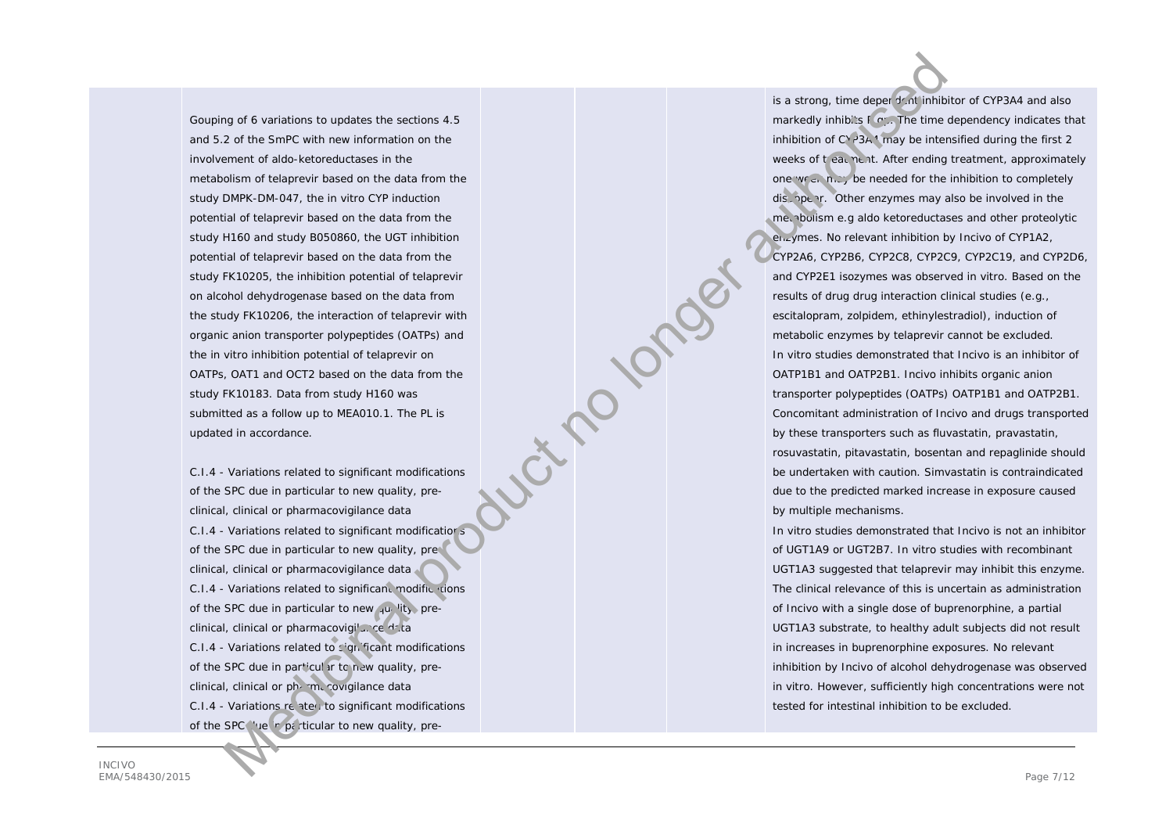Gouping of 6 variations to updates the sections 4.5 and 5.2 of the SmPC with new information on the involvement of aldo-ketoreductases in the metabolism of telaprevir based on the data from the study DMPK-DM-047, the in vitro CYP induction potential of telaprevir based on the data from the study H160 and study B050860, the UGT inhibition potential of telaprevir based on the data from the study FK10205, the inhibition potential of telaprevir on alcohol dehydrogenase based on the data from the study FK10206, the interaction of telaprevir with organic anion transporter polypeptides (OATPs) and the in vitro inhibition potential of telaprevir on OATPs, OAT1 and OCT2 based on the data from the study FK10183. Data from study H160 was submitted as a follow up to MEA010.1. The PL is updated in accordance.  $\frac{1}{2}$  of a such sixtension in probability in the set of the set of the set of the set of the set of the set of the set of the set of the set of the set of the set of the set of the set of the set of the set of the set

C.I.4 - Variations related to significant modifications of the SPC due in particular to new quality, preclinical, clinical or pharmacovigilance data C.I.4 - Variations related to significant modifications of the SPC due in particular to new quality, preclinical, clinical or pharmacovigilance data C.I.4 - Variations related to significant modific tions of the SPC due in particular to new  $\frac{1}{4}u_1$  lity, preclinical, clinical or pharmacovigi'... ce data C.I.4 - Variations related to significant modifications of the SPC due in particular to new quality, preclinical, clinical or pharmacovigilance data  $C.I.4$  - Variations related to significant modifications of the SPC in particular to new quality, pre-

INCIVO EMA/548430/2015 Page 7/12

is a strong, time deper dent inhibitor of CYP3A4 and also markedly inhibits  $F(x)$ . The time dependency indicates that inhibition of  $C^{\vee}$  3A<sup>4</sup> may be intensified during the first 2 weeks of treatment. After ending treatment, approximately one week may be needed for the inhibition to completely dis open. Other enzymes may also be involved in the metabolism e.g aldo ketoreductases and other proteolytic enzymes. No relevant inhibition by Incivo of CYP1A2, CYP2A6, CYP2B6, CYP2C8, CYP2C9, CYP2C19, and CYP2D6, and CYP2E1 isozymes was observed in vitro. Based on the results of drug drug interaction clinical studies (e.g., escitalopram, zolpidem, ethinylestradiol), induction of metabolic enzymes by telaprevir cannot be excluded. In vitro studies demonstrated that Incivo is an inhibitor of OATP1B1 and OATP2B1. Incivo inhibits organic anion transporter polypeptides (OATPs) OATP1B1 and OATP2B1. Concomitant administration of Incivo and drugs transported by these transporters such as fluvastatin, pravastatin, rosuvastatin, pitavastatin, bosentan and repaglinide should be undertaken with caution. Simvastatin is contraindicated due to the predicted marked increase in exposure caused by multiple mechanisms.

In vitro studies demonstrated that Incivo is not an inhibitor of UGT1A9 or UGT2B7. In vitro studies with recombinant UGT1A3 suggested that telaprevir may inhibit this enzyme. The clinical relevance of this is uncertain as administration of Incivo with a single dose of buprenorphine, a partial UGT1A3 substrate, to healthy adult subjects did not result in increases in buprenorphine exposures. No relevant inhibition by Incivo of alcohol dehydrogenase was observed in vitro. However, sufficiently high concentrations were not tested for intestinal inhibition to be excluded.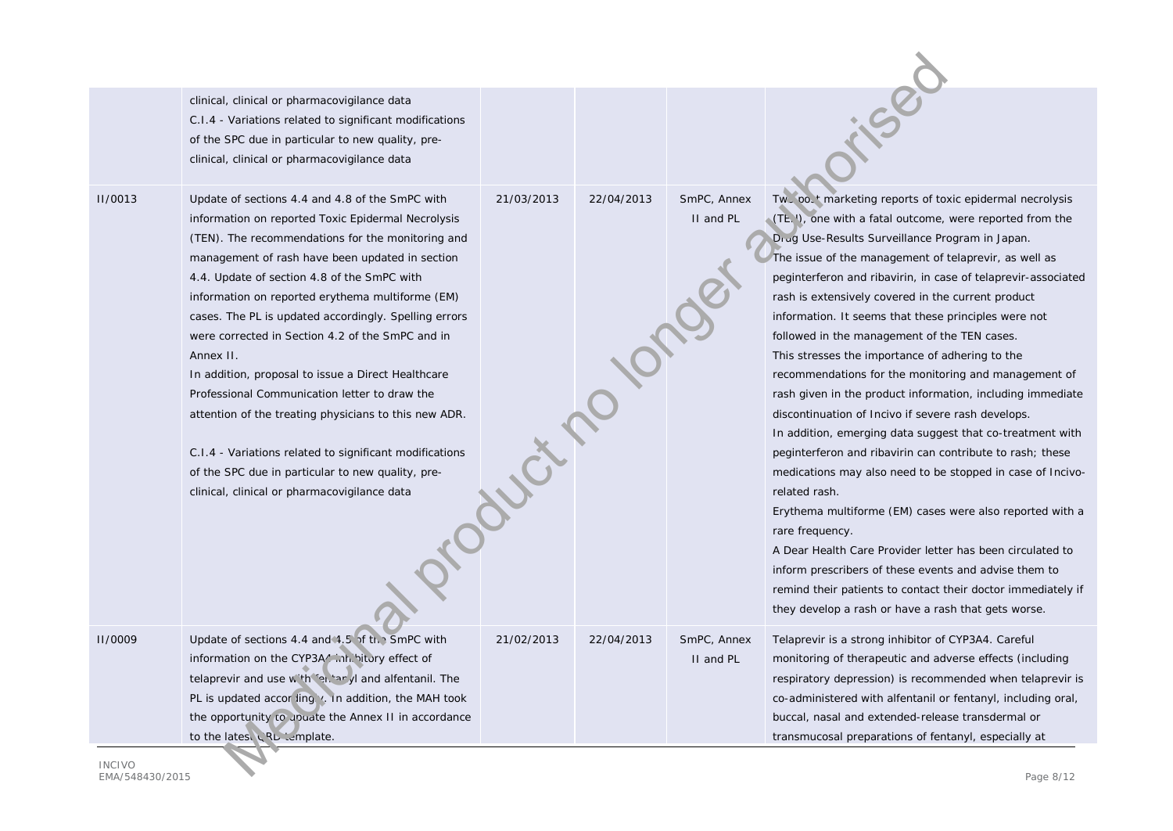|                                  | clinical, clinical or pharmacovigilance data<br>C.I.4 - Variations related to significant modifications<br>of the SPC due in particular to new quality, pre-<br>clinical, clinical or pharmacovigilance data                                                                                                                                                                                                                                                                                                                                                                                                                                                                                                                                                               |            |                           |                          |                                                                                                                                                                                                                                                                                                                                                                                                                                                                                                                                                                                                                                                                                                                                                                                                                                                                                                                                                                                                                                                                                                                                                                                                                                       |
|----------------------------------|----------------------------------------------------------------------------------------------------------------------------------------------------------------------------------------------------------------------------------------------------------------------------------------------------------------------------------------------------------------------------------------------------------------------------------------------------------------------------------------------------------------------------------------------------------------------------------------------------------------------------------------------------------------------------------------------------------------------------------------------------------------------------|------------|---------------------------|--------------------------|---------------------------------------------------------------------------------------------------------------------------------------------------------------------------------------------------------------------------------------------------------------------------------------------------------------------------------------------------------------------------------------------------------------------------------------------------------------------------------------------------------------------------------------------------------------------------------------------------------------------------------------------------------------------------------------------------------------------------------------------------------------------------------------------------------------------------------------------------------------------------------------------------------------------------------------------------------------------------------------------------------------------------------------------------------------------------------------------------------------------------------------------------------------------------------------------------------------------------------------|
| <b>II/0013</b>                   | Update of sections 4.4 and 4.8 of the SmPC with<br>information on reported Toxic Epidermal Necrolysis<br>(TEN). The recommendations for the monitoring and<br>management of rash have been updated in section<br>4.4. Update of section 4.8 of the SmPC with<br>information on reported erythema multiforme (EM)<br>cases. The PL is updated accordingly. Spelling errors<br>were corrected in Section 4.2 of the SmPC and in<br>Annex II.<br>In addition, proposal to issue a Direct Healthcare<br>Professional Communication letter to draw the<br>attention of the treating physicians to this new ADR.<br>C.I.4 - Variations related to significant modifications<br>of the SPC due in particular to new quality, pre-<br>clinical, clinical or pharmacovigilance data | 21/03/2013 | 22/04/2013<br>Coucir 2010 | SmPC, Annex<br>II and PL | Tw, oo, t marketing reports of toxic epidermal necrolysis<br>(TE. I), one with a fatal outcome, were reported from the<br>Drug Use-Results Surveillance Program in Japan.<br>The issue of the management of telaprevir, as well as<br>peginterferon and ribavirin, in case of telaprevir-associated<br>rash is extensively covered in the current product<br>information. It seems that these principles were not<br>followed in the management of the TEN cases.<br>This stresses the importance of adhering to the<br>recommendations for the monitoring and management of<br>rash given in the product information, including immediate<br>discontinuation of Incivo if severe rash develops.<br>In addition, emerging data suggest that co-treatment with<br>peginterferon and ribavirin can contribute to rash; these<br>medications may also need to be stopped in case of Incivo-<br>related rash.<br>Erythema multiforme (EM) cases were also reported with a<br>rare frequency.<br>A Dear Health Care Provider letter has been circulated to<br>inform prescribers of these events and advise them to<br>remind their patients to contact their doctor immediately if<br>they develop a rash or have a rash that gets worse. |
| <b>II/0009</b>                   | Update of sections 4.4 and 4.5 of the SmPC with<br>information on the CYP3A/ mh.'itory effect of<br>telaprevir and use with ferture yi and alfentanil. The<br>PL is updated according v. in addition, the MAH took<br>the opportunity to update the Annex II in accordance<br>to the latest LRL lemplate.                                                                                                                                                                                                                                                                                                                                                                                                                                                                  | 21/02/2013 | 22/04/2013                | SmPC, Annex<br>II and PL | Telaprevir is a strong inhibitor of CYP3A4. Careful<br>monitoring of therapeutic and adverse effects (including<br>respiratory depression) is recommended when telaprevir is<br>co-administered with alfentanil or fentanyl, including oral,<br>buccal, nasal and extended-release transdermal or<br>transmucosal preparations of fentanyl, especially at                                                                                                                                                                                                                                                                                                                                                                                                                                                                                                                                                                                                                                                                                                                                                                                                                                                                             |
| <b>INCIVO</b><br>FMA/548430/2015 |                                                                                                                                                                                                                                                                                                                                                                                                                                                                                                                                                                                                                                                                                                                                                                            |            |                           |                          | Page 8/12                                                                                                                                                                                                                                                                                                                                                                                                                                                                                                                                                                                                                                                                                                                                                                                                                                                                                                                                                                                                                                                                                                                                                                                                                             |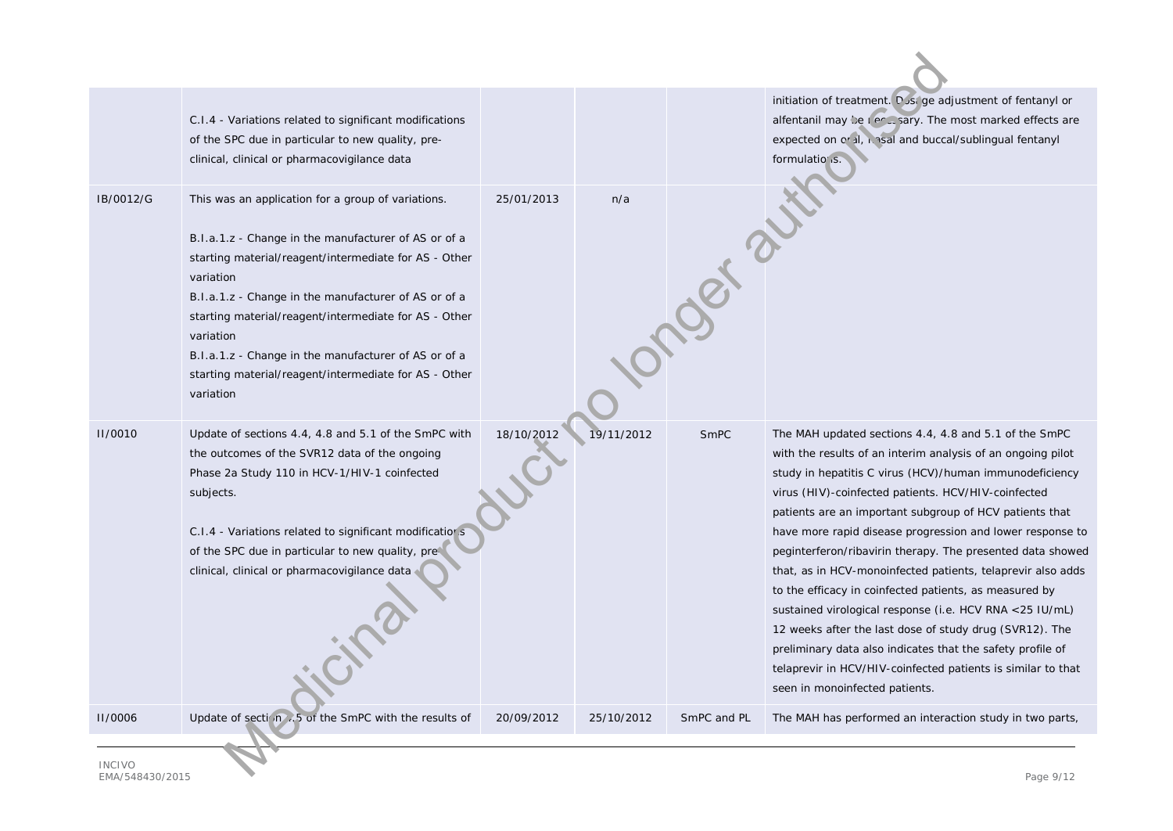|                                  | C.I.4 - Variations related to significant modifications<br>of the SPC due in particular to new quality, pre-<br>clinical, clinical or pharmacovigilance data                                                                                                                                                                                                                                                                                 |            |            |             | initiation of treatment. Dust ge adjustment of fentanyl or<br>alfentanil may be recusary. The most marked effects are<br>expected on or il, i asal and buccal/sublingual fentanyl<br>formulatio is.                                                                                                                                                                                                                                                                                                                                                                                                                                                                                                                                                                                                                                         |  |
|----------------------------------|----------------------------------------------------------------------------------------------------------------------------------------------------------------------------------------------------------------------------------------------------------------------------------------------------------------------------------------------------------------------------------------------------------------------------------------------|------------|------------|-------------|---------------------------------------------------------------------------------------------------------------------------------------------------------------------------------------------------------------------------------------------------------------------------------------------------------------------------------------------------------------------------------------------------------------------------------------------------------------------------------------------------------------------------------------------------------------------------------------------------------------------------------------------------------------------------------------------------------------------------------------------------------------------------------------------------------------------------------------------|--|
| IB/0012/G                        | This was an application for a group of variations.<br>B.I.a.1.z - Change in the manufacturer of AS or of a<br>starting material/reagent/intermediate for AS - Other<br>variation<br>B.I.a.1.z - Change in the manufacturer of AS or of a<br>starting material/reagent/intermediate for AS - Other<br>variation<br>B.I.a.1.z - Change in the manufacturer of AS or of a<br>starting material/reagent/intermediate for AS - Other<br>variation | 25/01/2013 | n/a        | October     |                                                                                                                                                                                                                                                                                                                                                                                                                                                                                                                                                                                                                                                                                                                                                                                                                                             |  |
| <b>II/0010</b>                   | Update of sections 4.4, 4.8 and 5.1 of the SmPC with<br>the outcomes of the SVR12 data of the ongoing<br>Phase 2a Study 110 in HCV-1/HIV-1 coinfected<br>subjects.<br>C.I.4 - Variations related to significant modificatior s<br>of the SPC due in particular to new quality, pre-<br>clinical, clinical or pharmacovigilance data                                                                                                          | 18/10/2012 | 19/11/2012 | SmPC        | The MAH updated sections 4.4, 4.8 and 5.1 of the SmPC<br>with the results of an interim analysis of an ongoing pilot<br>study in hepatitis C virus (HCV)/human immunodeficiency<br>virus (HIV)-coinfected patients. HCV/HIV-coinfected<br>patients are an important subgroup of HCV patients that<br>have more rapid disease progression and lower response to<br>peginterferon/ribavirin therapy. The presented data showed<br>that, as in HCV-monoinfected patients, telaprevir also adds<br>to the efficacy in coinfected patients, as measured by<br>sustained virological response (i.e. HCV RNA <25 IU/mL)<br>12 weeks after the last dose of study drug (SVR12). The<br>preliminary data also indicates that the safety profile of<br>telaprevir in HCV/HIV-coinfected patients is similar to that<br>seen in monoinfected patients. |  |
| <b>II/0006</b>                   | Update of section 6.5 of the SmPC with the results of                                                                                                                                                                                                                                                                                                                                                                                        | 20/09/2012 | 25/10/2012 | SmPC and PL | The MAH has performed an interaction study in two parts,                                                                                                                                                                                                                                                                                                                                                                                                                                                                                                                                                                                                                                                                                                                                                                                    |  |
| <b>INCIVO</b><br>$Dess \cap 112$ |                                                                                                                                                                                                                                                                                                                                                                                                                                              |            |            |             |                                                                                                                                                                                                                                                                                                                                                                                                                                                                                                                                                                                                                                                                                                                                                                                                                                             |  |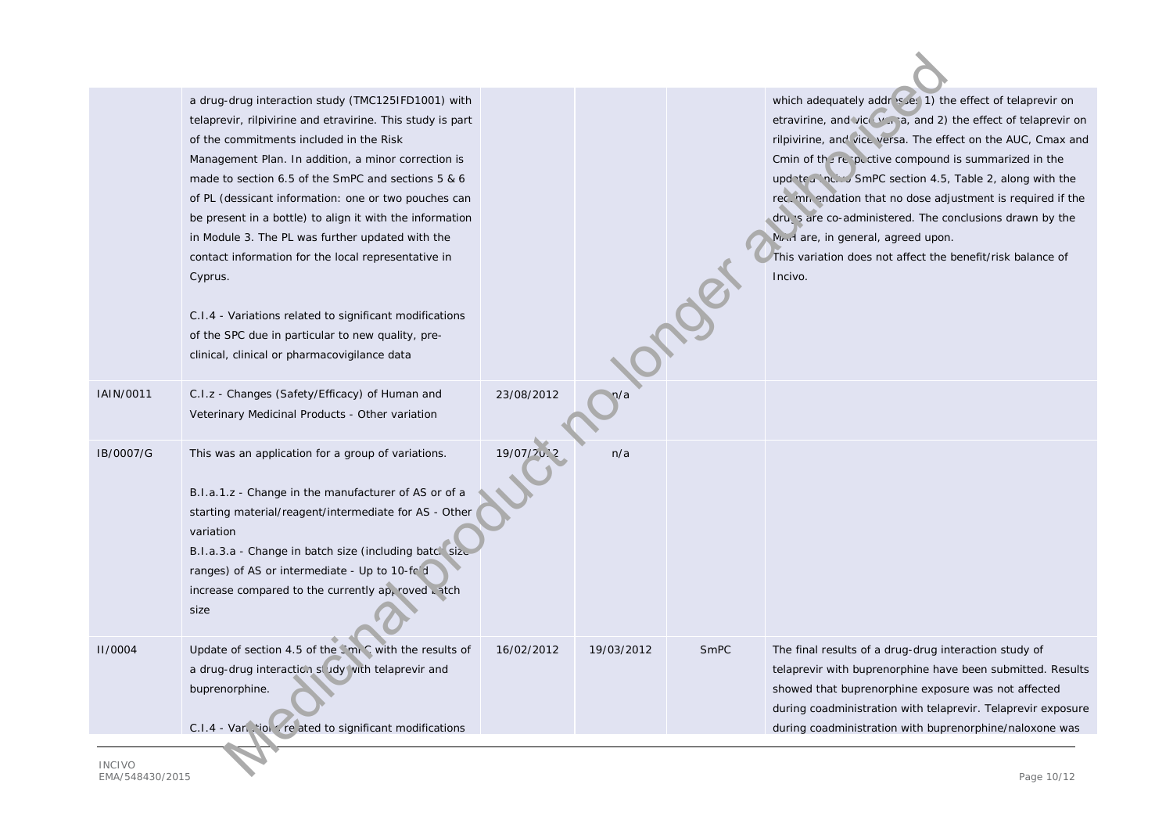|                             | a drug-drug interaction study (TMC125IFD1001) with<br>telaprevir, rilpivirine and etravirine. This study is part<br>of the commitments included in the Risk<br>Management Plan. In addition, a minor correction is<br>made to section 6.5 of the SmPC and sections 5 & 6<br>of PL (dessicant information: one or two pouches can<br>be present in a bottle) to align it with the information<br>in Module 3. The PL was further updated with the<br>contact information for the local representative in<br>Cyprus.<br>C.I.4 - Variations related to significant modifications<br>of the SPC due in particular to new quality, pre-<br>clinical, clinical or pharmacovigilance data |            |            |      | which adequately addr sues 1) the effect of telaprevir on<br>etravirine, and vice you a, and 2) the effect of telaprevir on<br>rilpivirine, and vice versa. The effect on the AUC, Cmax and<br>Cmin of the reportive compound is summarized in the<br>updated inc. $\sim$ SmPC section 4.5, Table 2, along with the<br>rection and resolution that no dose adjustment is required if the<br>drugs are co-administered. The conclusions drawn by the<br>Mrud are, in general, agreed upon.<br>This variation does not affect the benefit/risk balance of<br>Incivo. |  |
|-----------------------------|------------------------------------------------------------------------------------------------------------------------------------------------------------------------------------------------------------------------------------------------------------------------------------------------------------------------------------------------------------------------------------------------------------------------------------------------------------------------------------------------------------------------------------------------------------------------------------------------------------------------------------------------------------------------------------|------------|------------|------|--------------------------------------------------------------------------------------------------------------------------------------------------------------------------------------------------------------------------------------------------------------------------------------------------------------------------------------------------------------------------------------------------------------------------------------------------------------------------------------------------------------------------------------------------------------------|--|
| IAIN/0011                   | C.I.z - Changes (Safety/Efficacy) of Human and<br>Veterinary Medicinal Products - Other variation                                                                                                                                                                                                                                                                                                                                                                                                                                                                                                                                                                                  | 23/08/2012 |            |      |                                                                                                                                                                                                                                                                                                                                                                                                                                                                                                                                                                    |  |
| IB/0007/G                   | This was an application for a group of variations.<br>B.I.a.1.z - Change in the manufacturer of AS or of a<br>starting material/reagent/intermediate for AS - Other<br>variation<br>B.I.a.3.a - Change in batch size (including batch size<br>ranges) of AS or intermediate - Up to 10-fold<br>increase compared to the currently ap, roved antch<br>size                                                                                                                                                                                                                                                                                                                          | 19/07/20   | n/a        |      |                                                                                                                                                                                                                                                                                                                                                                                                                                                                                                                                                                    |  |
| <b>II/0004</b>              | Update of section 4.5 of the CmrC with the results of<br>a drug-drug interaction study with telaprevir and<br>buprenorphine.<br>C.I.4 - Vari, 'ioi of related to significant modifications                                                                                                                                                                                                                                                                                                                                                                                                                                                                                         | 16/02/2012 | 19/03/2012 | SmPC | The final results of a drug-drug interaction study of<br>telaprevir with buprenorphine have been submitted. Results<br>showed that buprenorphine exposure was not affected<br>during coadministration with telaprevir. Telaprevir exposure<br>during coadministration with buprenorphine/naloxone was                                                                                                                                                                                                                                                              |  |
| <b>INCIVO</b><br>Dess 10/12 |                                                                                                                                                                                                                                                                                                                                                                                                                                                                                                                                                                                                                                                                                    |            |            |      |                                                                                                                                                                                                                                                                                                                                                                                                                                                                                                                                                                    |  |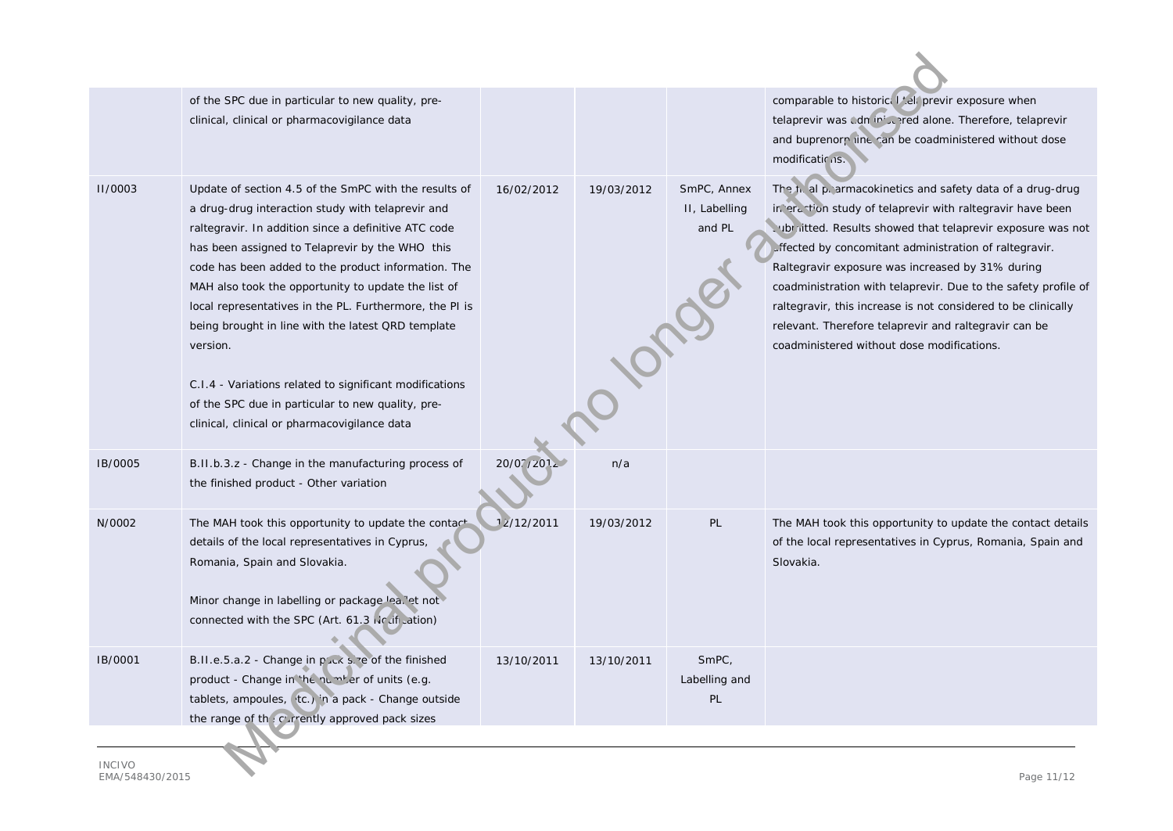|                                                                  | of the SPC due in particular to new quality, pre-<br>clinical, clinical or pharmacovigilance data                                                                                                                                                                                                                                                                                                                                                                                                                                                                                                                                |            |            |                                        | comparable to historical telaprevir exposure when<br>telaprevir was cdn in the red alone. Therefore, telaprevir<br>and buprenorp line can be coadministered without dose<br>modifications.                                                                                                                                                                                                                                                                                                                                                      |  |  |
|------------------------------------------------------------------|----------------------------------------------------------------------------------------------------------------------------------------------------------------------------------------------------------------------------------------------------------------------------------------------------------------------------------------------------------------------------------------------------------------------------------------------------------------------------------------------------------------------------------------------------------------------------------------------------------------------------------|------------|------------|----------------------------------------|-------------------------------------------------------------------------------------------------------------------------------------------------------------------------------------------------------------------------------------------------------------------------------------------------------------------------------------------------------------------------------------------------------------------------------------------------------------------------------------------------------------------------------------------------|--|--|
| <b>II/0003</b>                                                   | Update of section 4.5 of the SmPC with the results of<br>a drug-drug interaction study with telaprevir and<br>raltegravir. In addition since a definitive ATC code<br>has been assigned to Telaprevir by the WHO this<br>code has been added to the product information. The<br>MAH also took the opportunity to update the list of<br>local representatives in the PL. Furthermore, the PI is<br>being brought in line with the latest QRD template<br>version.<br>C.I.4 - Variations related to significant modifications<br>of the SPC due in particular to new quality, pre-<br>clinical, clinical or pharmacovigilance data | 16/02/2012 | 19/03/2012 | SmPC, Annex<br>II, Labelling<br>and PL | The fight pigarmacokinetics and safety data of a drug-drug<br>in erantion study of telaprevir with raltegravir have been<br>oubraitted. Results showed that telaprevir exposure was not<br>. fected by concomitant administration of raltegravir.<br>Raltegravir exposure was increased by 31% during<br>coadministration with telaprevir. Due to the safety profile of<br>raltegravir, this increase is not considered to be clinically<br>relevant. Therefore telaprevir and raltegravir can be<br>coadministered without dose modifications. |  |  |
| IB/0005                                                          | B.II.b.3.z - Change in the manufacturing process of<br>the finished product - Other variation                                                                                                                                                                                                                                                                                                                                                                                                                                                                                                                                    | 20/07/2012 | n/a        |                                        |                                                                                                                                                                                                                                                                                                                                                                                                                                                                                                                                                 |  |  |
| N/0002                                                           | The MAH took this opportunity to update the contact<br>details of the local representatives in Cyprus,<br>Romania, Spain and Slovakia.<br>Minor change in labelling or package lea. et not<br>connected with the SPC (Art. 61.3 No difunction)                                                                                                                                                                                                                                                                                                                                                                                   | 12/12/2011 | 19/03/2012 | PL                                     | The MAH took this opportunity to update the contact details<br>of the local representatives in Cyprus, Romania, Spain and<br>Slovakia.                                                                                                                                                                                                                                                                                                                                                                                                          |  |  |
| IB/0001                                                          | B.II.e.5.a.2 - Change in plack size of the finished<br>product - Change in the number of units (e.g.<br>tablets, ampoules, (tc.) in a pack - Change outside<br>the range of the currently approved pack sizes                                                                                                                                                                                                                                                                                                                                                                                                                    | 13/10/2011 | 13/10/2011 | SmPC,<br>Labelling and<br>PL           |                                                                                                                                                                                                                                                                                                                                                                                                                                                                                                                                                 |  |  |
| <b>INCIVO</b><br>T A A / T A O A Q O / Q A T<br>$D_{0.000}$ 11/1 |                                                                                                                                                                                                                                                                                                                                                                                                                                                                                                                                                                                                                                  |            |            |                                        |                                                                                                                                                                                                                                                                                                                                                                                                                                                                                                                                                 |  |  |